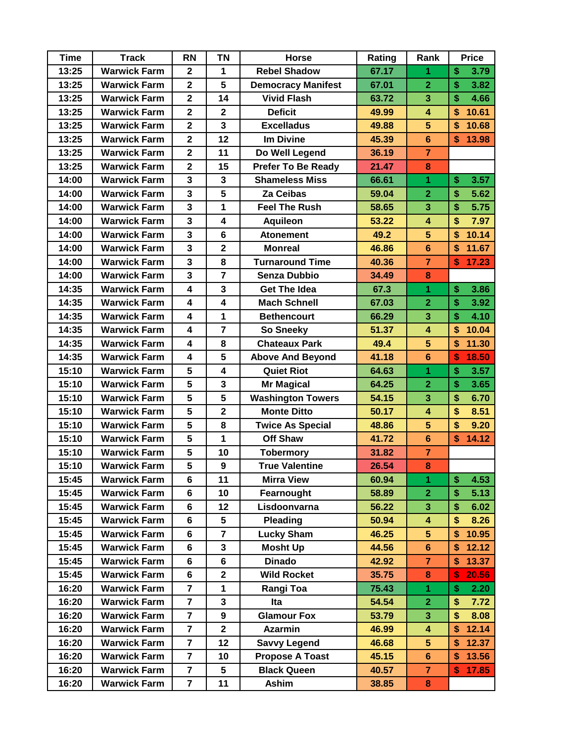| <b>Time</b> | <b>Track</b>        | <b>RN</b>               | <b>TN</b>               | <b>Horse</b>              | Rating | Rank                    | <b>Price</b>           |
|-------------|---------------------|-------------------------|-------------------------|---------------------------|--------|-------------------------|------------------------|
| 13:25       | <b>Warwick Farm</b> | $\overline{2}$          | 1                       | <b>Rebel Shadow</b>       | 67.17  | 1                       | \$<br>3.79             |
| 13:25       | <b>Warwick Farm</b> | $\overline{\mathbf{2}}$ | $5\phantom{1}$          | <b>Democracy Manifest</b> | 67.01  | $\overline{2}$          | \$<br>3.82             |
| 13:25       | <b>Warwick Farm</b> | $\overline{\mathbf{2}}$ | 14                      | <b>Vivid Flash</b>        | 63.72  | 3                       | $\mathbf{\$}$<br>4.66  |
| 13:25       | <b>Warwick Farm</b> | $\overline{\mathbf{2}}$ | $\overline{\mathbf{2}}$ | <b>Deficit</b>            | 49.99  | $\overline{\mathbf{4}}$ | \$<br>10.61            |
| 13:25       | <b>Warwick Farm</b> | $\overline{2}$          | $\mathbf{3}$            | <b>Excelladus</b>         | 49.88  | $5\phantom{.}$          | \$<br>10.68            |
| 13:25       | <b>Warwick Farm</b> | $\mathbf{2}$            | 12                      | <b>Im Divine</b>          | 45.39  | $6\phantom{a}$          | $\mathbf{\$}$<br>13.98 |
| 13:25       | <b>Warwick Farm</b> | $\overline{2}$          | 11                      | Do Well Legend            | 36.19  | $\overline{7}$          |                        |
| 13:25       | <b>Warwick Farm</b> | $\overline{2}$          | 15                      | <b>Prefer To Be Ready</b> | 21.47  | 8                       |                        |
| 14:00       | <b>Warwick Farm</b> | 3                       | 3                       | <b>Shameless Miss</b>     | 66.61  | 1                       | \$<br>3.57             |
| 14:00       | <b>Warwick Farm</b> | $\overline{\mathbf{3}}$ | 5                       | Za Ceibas                 | 59.04  | $\overline{2}$          | \$<br>5.62             |
| 14:00       | <b>Warwick Farm</b> | $\overline{\mathbf{3}}$ | 1                       | <b>Feel The Rush</b>      | 58.65  | 3                       | \$<br>5.75             |
| 14:00       | <b>Warwick Farm</b> | $\mathbf{3}$            | $\overline{\mathbf{4}}$ | <b>Aquileon</b>           | 53.22  | $\overline{\mathbf{4}}$ | \$<br>7.97             |
| 14:00       | <b>Warwick Farm</b> | $\overline{\mathbf{3}}$ | $6\phantom{1}$          | <b>Atonement</b>          | 49.2   | $\overline{5}$          | 10.14<br>\$            |
| 14:00       | <b>Warwick Farm</b> | $\overline{\mathbf{3}}$ | $\mathbf{2}$            | <b>Monreal</b>            | 46.86  | $6\phantom{1}$          | \$<br>11.67            |
| 14:00       | <b>Warwick Farm</b> | $\overline{\mathbf{3}}$ | 8                       | <b>Turnaround Time</b>    | 40.36  | $\overline{7}$          | 17.23<br>\$            |
| 14:00       | <b>Warwick Farm</b> | $\overline{\mathbf{3}}$ | $\overline{7}$          | <b>Senza Dubbio</b>       | 34.49  | 8                       |                        |
| 14:35       | <b>Warwick Farm</b> | $\overline{\mathbf{4}}$ | 3                       | <b>Get The Idea</b>       | 67.3   | $\overline{1}$          | \$<br>3.86             |
| 14:35       | <b>Warwick Farm</b> | $\overline{\mathbf{4}}$ | 4                       | <b>Mach Schnell</b>       | 67.03  | $\overline{2}$          | \$<br>3.92             |
| 14:35       | <b>Warwick Farm</b> | $\overline{\mathbf{4}}$ | 1                       | <b>Bethencourt</b>        | 66.29  | 3                       | \$<br>4.10             |
| 14:35       | <b>Warwick Farm</b> | $\overline{\mathbf{4}}$ | $\overline{7}$          | <b>So Sneeky</b>          | 51.37  | $\overline{\mathbf{4}}$ | \$<br>10.04            |
| 14:35       | <b>Warwick Farm</b> | $\overline{\mathbf{4}}$ | 8                       | <b>Chateaux Park</b>      | 49.4   | $5\phantom{.}$          | \$<br>11.30            |
| 14:35       | <b>Warwick Farm</b> | $\overline{\mathbf{4}}$ | 5                       | <b>Above And Beyond</b>   | 41.18  | $6\phantom{1}$          | 18.50<br>\$            |
| 15:10       | <b>Warwick Farm</b> | 5                       | 4                       | <b>Quiet Riot</b>         | 64.63  | 1                       | \$<br>3.57             |
| 15:10       | <b>Warwick Farm</b> | 5                       | $\mathbf{3}$            | <b>Mr Magical</b>         | 64.25  | $\overline{2}$          | \$<br>3.65             |
| 15:10       | <b>Warwick Farm</b> | 5                       | 5                       | <b>Washington Towers</b>  | 54.15  | 3                       | \$<br>6.70             |
| 15:10       | <b>Warwick Farm</b> | 5                       | $\overline{\mathbf{2}}$ | <b>Monte Ditto</b>        | 50.17  | $\overline{\mathbf{4}}$ | \$<br>8.51             |
| 15:10       | <b>Warwick Farm</b> | $5\phantom{a}$          | 8                       | <b>Twice As Special</b>   | 48.86  | $\overline{5}$          | \$<br>9.20             |
| 15:10       | <b>Warwick Farm</b> | 5                       | 1                       | <b>Off Shaw</b>           | 41.72  | $6\phantom{a}$          | \$<br>14.12            |
| 15:10       | <b>Warwick Farm</b> | 5                       | 10                      | <b>Tobermory</b>          | 31.82  | $\overline{7}$          |                        |
| 15:10       | <b>Warwick Farm</b> | 5                       | $\boldsymbol{9}$        | <b>True Valentine</b>     | 26.54  | 8                       |                        |
| 15:45       | <b>Warwick Farm</b> | 6                       | 11                      | <b>Mirra View</b>         | 60.94  | 1                       | \$<br>4.53             |
| 15:45       | <b>Warwick Farm</b> | 6                       | 10                      | Fearnought                | 58.89  | $\overline{2}$          | \$<br>5.13             |
| 15:45       | <b>Warwick Farm</b> | 6                       | 12                      | Lisdoonvarna              | 56.22  | $\overline{\mathbf{3}}$ | \$<br>6.02             |
| 15:45       | <b>Warwick Farm</b> | $6\phantom{a}$          | 5                       | <b>Pleading</b>           | 50.94  | 4                       | \$<br>8.26             |
| 15:45       | <b>Warwick Farm</b> | 6                       | $\overline{7}$          | <b>Lucky Sham</b>         | 46.25  | 5 <sup>5</sup>          | \$<br>10.95            |
| 15:45       | <b>Warwick Farm</b> | 6                       | 3                       | <b>Mosht Up</b>           | 44.56  | $6\phantom{1}$          | 12.12<br>\$            |
| 15:45       | <b>Warwick Farm</b> | $6\phantom{a}$          | $\bf 6$                 | <b>Dinado</b>             | 42.92  | $\overline{7}$          | 13.37<br>\$            |
| 15:45       | <b>Warwick Farm</b> | 6                       | $\mathbf 2$             | <b>Wild Rocket</b>        | 35.75  | ${\bf 8}$               | S<br>20.56             |
| 16:20       | <b>Warwick Farm</b> | $\overline{7}$          | 1                       | Rangi Toa                 | 75.43  | 1                       | \$<br>2.20             |
| 16:20       | <b>Warwick Farm</b> | $\overline{7}$          | $\mathbf{3}$            | Ita                       | 54.54  | $\overline{\mathbf{2}}$ | \$<br>7.72             |
| 16:20       | <b>Warwick Farm</b> | $\overline{7}$          | 9                       | <b>Glamour Fox</b>        | 53.79  | 3                       | \$<br>8.08             |
| 16:20       | <b>Warwick Farm</b> | $\overline{7}$          | $\mathbf{2}$            | <b>Azarmin</b>            | 46.99  | $\overline{\mathbf{4}}$ | \$<br>12.14            |
| 16:20       | <b>Warwick Farm</b> | $\overline{\mathbf{r}}$ | 12                      | <b>Savvy Legend</b>       | 46.68  | $\overline{\mathbf{5}}$ | \$<br>12.37            |
| 16:20       | <b>Warwick Farm</b> | $\overline{7}$          | 10                      | <b>Propose A Toast</b>    | 45.15  | $6\phantom{a}$          | \$<br>13.56            |
| 16:20       | <b>Warwick Farm</b> | $\overline{7}$          | 5                       | <b>Black Queen</b>        | 40.57  | 7                       | 17.85<br>\$            |
| 16:20       | <b>Warwick Farm</b> | $\overline{7}$          | 11                      | Ashim                     | 38.85  | 8                       |                        |